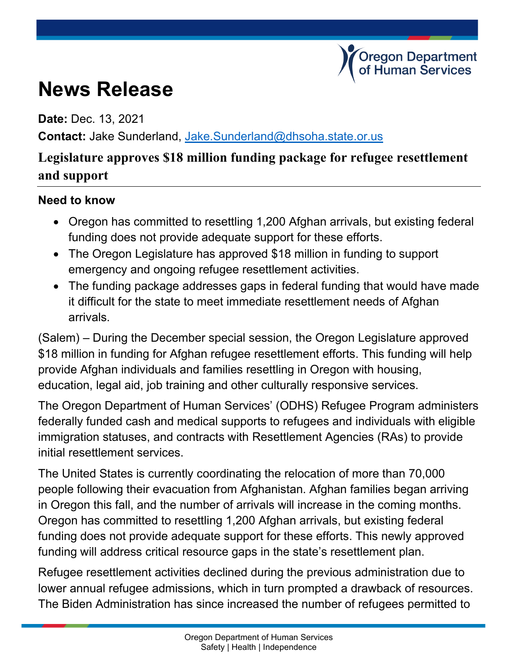## **News Release**

**Date:** Dec. 13, 2021

**Contact:** Jake Sunderland, [Jake.Sunderland@dhsoha.state.or.us](mailto:Jake.Sunderland@dhsoha.state.or.us)

## **Legislature approves \$18 million funding package for refugee resettlement and support**

regon Department Human Services

## **Need to know**

- Oregon has committed to resettling 1,200 Afghan arrivals, but existing federal funding does not provide adequate support for these efforts.
- The Oregon Legislature has approved \$18 million in funding to support emergency and ongoing refugee resettlement activities.
- The funding package addresses gaps in federal funding that would have made it difficult for the state to meet immediate resettlement needs of Afghan arrivals.

(Salem) – During the December special session, the Oregon Legislature approved \$18 million in funding for Afghan refugee resettlement efforts. This funding will help provide Afghan individuals and families resettling in Oregon with housing, education, legal aid, job training and other culturally responsive services.

The Oregon Department of Human Services' (ODHS) Refugee Program administers federally funded cash and medical supports to refugees and individuals with eligible immigration statuses, and contracts with Resettlement Agencies (RAs) to provide initial resettlement services.

The United States is currently coordinating the relocation of more than 70,000 people following their evacuation from Afghanistan. Afghan families began arriving in Oregon this fall, and the number of arrivals will increase in the coming months. Oregon has committed to resettling 1,200 Afghan arrivals, but existing federal funding does not provide adequate support for these efforts. This newly approved funding will address critical resource gaps in the state's resettlement plan.

Refugee resettlement activities declined during the previous administration due to lower annual refugee admissions, which in turn prompted a drawback of resources. The Biden Administration has since increased the number of refugees permitted to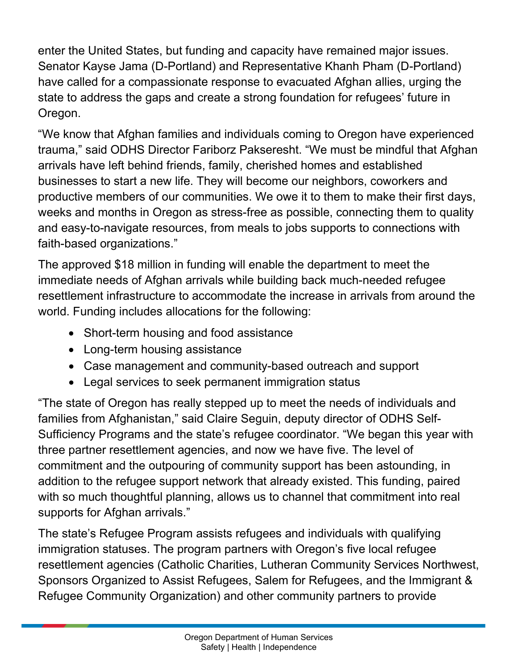enter the United States, but funding and capacity have remained major issues. Senator Kayse Jama (D-Portland) and Representative Khanh Pham (D-Portland) have called for a compassionate response to evacuated Afghan allies, urging the state to address the gaps and create a strong foundation for refugees' future in Oregon.

"We know that Afghan families and individuals coming to Oregon have experienced trauma," said ODHS Director Fariborz Pakseresht. "We must be mindful that Afghan arrivals have left behind friends, family, cherished homes and established businesses to start a new life. They will become our neighbors, coworkers and productive members of our communities. We owe it to them to make their first days, weeks and months in Oregon as stress-free as possible, connecting them to quality and easy-to-navigate resources, from meals to jobs supports to connections with faith-based organizations."

The approved \$18 million in funding will enable the department to meet the immediate needs of Afghan arrivals while building back much-needed refugee resettlement infrastructure to accommodate the increase in arrivals from around the world. Funding includes allocations for the following:

- Short-term housing and food assistance
- Long-term housing assistance
- Case management and community-based outreach and support
- Legal services to seek permanent immigration status

"The state of Oregon has really stepped up to meet the needs of individuals and families from Afghanistan," said Claire Seguin, deputy director of ODHS Self-Sufficiency Programs and the state's refugee coordinator. "We began this year with three partner resettlement agencies, and now we have five. The level of commitment and the outpouring of community support has been astounding, in addition to the refugee support network that already existed. This funding, paired with so much thoughtful planning, allows us to channel that commitment into real supports for Afghan arrivals."

The state's Refugee Program assists refugees and individuals with qualifying immigration statuses. The program partners with Oregon's five local refugee resettlement agencies (Catholic Charities, Lutheran Community Services Northwest, Sponsors Organized to Assist Refugees, Salem for Refugees, and the Immigrant & Refugee Community Organization) and other community partners to provide